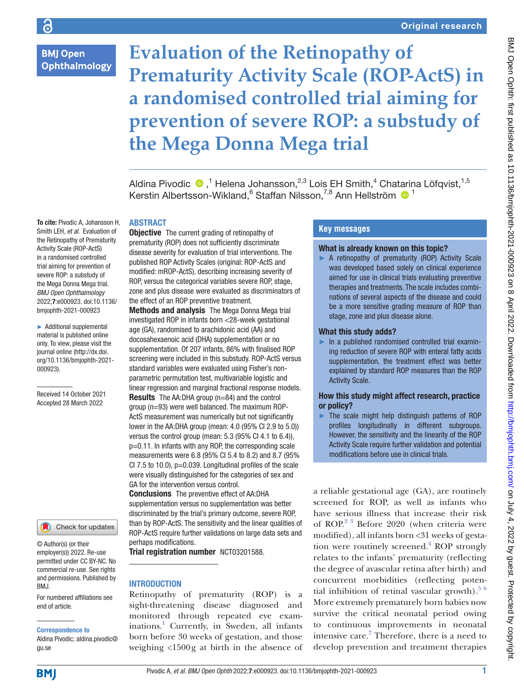# **BMJ Open Ophthalmology**

To cite: Pivodic A, Johansson H, Smith LEH, *et al*. Evaluation of the Retinopathy of Prematurity Activity Scale (ROP-ActS) in a randomised controlled trial aiming for prevention of severe ROP: a substudy of the Mega Donna Mega trial. *BMJ Open Ophthalmology* 2022;7:e000923. doi:10.1136/ bmjophth-2021-000923 ► Additional supplemental material is published online only. To view, please visit the journal online ([http://dx.doi.](http://dx.doi.org/10.1136/bmjophth-2021-000923) [org/10.1136/bmjophth-2021-](http://dx.doi.org/10.1136/bmjophth-2021-000923)

[000923](http://dx.doi.org/10.1136/bmjophth-2021-000923)).

Received 14 October 2021 Accepted 28 March 2022

# **Evaluation of the Retinopathy of Prematurity Activity Scale (ROP-ActS) in a randomised controlled trial aiming for prevention of severe ROP: a substudy of the Mega Donna Mega trial**

Aldina Pivodic  $\bigcirc$ ,<sup>1</sup> Helena Johansson,<sup>2,3</sup> Lois EH Smith,<sup>4</sup> Chatarina Löfqvist,<sup>1,5</sup> Kerstin Albertsson-Wikland, <sup>6</sup> Staffan Nilsson, <sup>7,8</sup> Ann Hellström <sup>1</sup>

# ABSTRACT

**Objective** The current grading of retinopathy of prematurity (ROP) does not sufficiently discriminate disease severity for evaluation of trial interventions. The published ROP Activity Scales (original: ROP-ActS and modified: mROP-ActS), describing increasing severity of ROP, versus the categorical variables severe ROP, stage, zone and plus disease were evaluated as discriminators of the effect of an ROP preventive treatment.

Methods and analysis The Mega Donna Mega trial investigated ROP in infants born <28-week gestational age (GA), randomised to arachidonic acid (AA) and docosahexaenoic acid (DHA) supplementation or no supplementation. Of 207 infants, 86% with finalised ROP screening were included in this substudy. ROP-ActS versus standard variables were evaluated using Fisher's nonparametric permutation test, multivariable logistic and linear regression and marginal fractional response models. Results The AA:DHA group (n=84) and the control group (n=93) were well balanced. The maximum ROP-ActS measurement was numerically but not significantly lower in the AA:DHA group (mean: 4.0 (95% CI 2.9 to 5.0)) versus the control group (mean: 5.3 (95% CI 4.1 to 6.4)), p=0.11. In infants with any ROP, the corresponding scale measurements were 6.8 (95% CI 5.4 to 8.2) and 8.7 (95% CI 7.5 to 10.0), p=0.039. Longitudinal profiles of the scale were visually distinguished for the categories of sex and GA for the intervention versus control.

Conclusions The preventive effect of AA:DHA supplementation versus no supplementation was better discriminated by the trial's primary outcome, severe ROP, than by ROP-ActS. The sensitivity and the linear qualities of ROP-ActS require further validations on large data sets and perhaps modifications.

Trial registration number [NCT03201588.](NCT03201588)

# INTRODUCTION

Retinopathy of prematurity (ROP) is a sight-threatening disease diagnosed and monitored through repeated eye examinations[.1](#page-8-0) Currently, in Sweden, all infants born before 30 weeks of gestation, and those weighing <1500g at birth in the absence of

# **Key messages**

#### What is already known on this topic?

► A retinopathy of prematurity (ROP) Activity Scale was developed based solely on clinical experience aimed for use in clinical trials evaluating preventive therapies and treatments. The scale includes combinations of several aspects of the disease and could be a more sensitive grading measure of ROP than stage, zone and plus disease alone.

#### What this study adds?

► In a published randomised controlled trial examining reduction of severe ROP with enteral fatty acids supplementation, the treatment effect was better explained by standard ROP measures than the ROP Activity Scale.

#### How this study might affect research, practice or policy?

► The scale might help distinguish patterns of ROP profiles longitudinally in different subgroups. However, the sensitivity and the linearity of the ROP Activity Scale require further validation and potential modifications before use in clinical trials.

a reliable gestational age (GA), are routinely screened for ROP, as well as infants who have serious illness that increase their risk of ROP.<sup>2 3</sup> Before 2020 (when criteria were modified), all infants born <31 weeks of gesta-tion were routinely screened.<sup>[4](#page-8-2)</sup> ROP strongly relates to the infants' prematurity (reflecting the degree of avascular retina after birth) and concurrent morbidities (reflecting potential inhibition of retinal vascular growth). $56$ More extremely prematurely born babies now survive the critical neonatal period owing to continuous improvements in neonatal intensive care.<sup>7</sup> Therefore, there is a need to develop prevention and treatment therapies

and permissions. Published by BMJ.

© Author(s) (or their employer(s)) 2022. Re-use permitted under CC BY-NC. No commercial re-use. See rights

Check for updates

For numbered affiliations see end of article.

#### Correspondence to

Aldina Pivodic; aldina.pivodic@ gu.se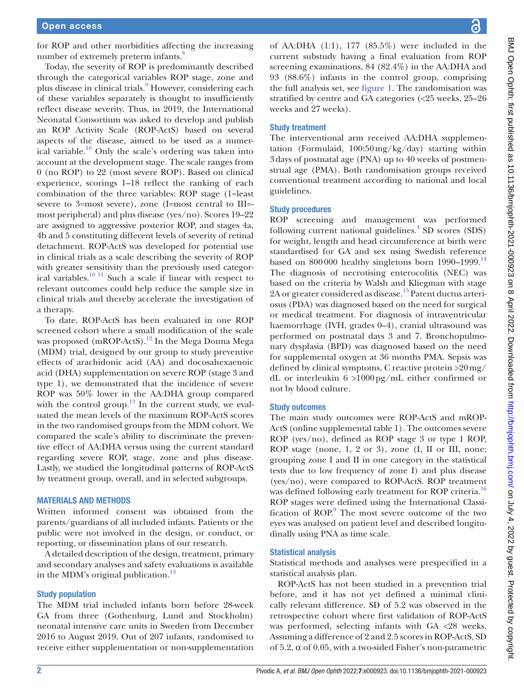for ROP and other morbidities affecting the increasing number of extremely preterm infants.<sup>[8](#page-8-5)</sup>

Today, the severity of ROP is predominantly described through the categorical variables ROP stage, zone and plus disease in clinical trials.<sup>9</sup> However, considering each of these variables separately is thought to insufficiently reflect disease severity. Thus, in 2019, the International Neonatal Consortium was asked to develop and publish an ROP Activity Scale (ROP-ActS) based on several aspects of the disease, aimed to be used as a numerical variable.<sup>10</sup> Only the scale's ordering was taken into account at the development stage. The scale ranges from 0 (no ROP) to 22 (most severe ROP). Based on clinical experience, scorings 1–18 reflect the ranking of each combination of the three variables: ROP stage (1=least severe to 3=most severe), zone (I=most central to III= most peripheral) and plus disease (yes/no). Scores 19–22 are assigned to aggressive posterior ROP, and stages 4a, 4b and 5 constituting different levels of severity of retinal detachment. ROP-ActS was developed for potential use in clinical trials as a scale describing the severity of ROP with greater sensitivity than the previously used categorical variables. $10^{-11}$  Such a scale if linear with respect to relevant outcomes could help reduce the sample size in clinical trials and thereby accelerate the investigation of a therapy.

To date, ROP-ActS has been evaluated in one ROP screened cohort where a small modification of the scale was proposed (mROP-ActS).<sup>12</sup> In the Mega Donna Mega (MDM) trial, designed by our group to study preventive effects of arachidonic acid (AA) and docosahexaenoic acid (DHA) supplementation on severe ROP (stage 3 and type 1), we demonstrated that the incidence of severe ROP was 50% lower in the AA:DHA group compared with the control group. $^{13}$  In the current study, we evaluated the mean levels of the maximum ROP-ActS scores in the two randomised groups from the MDM cohort. We compared the scale's ability to discriminate the preventive effect of AA:DHA versus using the current standard regarding severe ROP, stage, zone and plus disease. Lastly, we studied the longitudinal patterns of ROP-ActS by treatment group, overall, and in selected subgroups.

### MATERIALS AND METHODS

Written informed consent was obtained from the parents/guardians of all included infants. Patients or the public were not involved in the design, or conduct, or reporting, or dissemination plans of our research.

A detailed description of the design, treatment, primary and secondary analyses and safety evaluations is available in the MDM's original publication.<sup>[13](#page-8-9)</sup>

#### Study population

The MDM trial included infants born before 28-week GA from three (Gothenburg, Lund and Stockholm) neonatal intensive care units in Sweden from December 2016 to August 2019. Out of 207 infants, randomised to receive either supplementation or non-supplementation

of AA:DHA (1:1), 177 (85.5%) were included in the current substudy having a final evaluation from ROP screening examinations, 84 (82.4%) in the AA:DHA and 93 (88.6%) infants in the control group, comprising the full analysis set, see [figure](#page-2-0) 1. The randomisation was stratified by centre and GA categories (<25 weeks, 25–26 weeks and 27 weeks).

## Study treatment

The interventional arm received AA:DHA supplementation (Formulaid, 100:50mg/kg/day) starting within 3days of postnatal age (PNA) up to 40 weeks of postmenstrual age (PMA). Both randomisation groups received conventional treatment according to national and local guidelines.

## Study procedures

ROP screening and management was performed following current national guidelines.<sup>[4](#page-8-2)</sup> SD scores (SDS) for weight, length and head circumference at birth were standardised for GA and sex using Swedish reference based on 800000 healthy singletons born 1990–1999.<sup>14</sup> The diagnosis of necrotising enterocolitis (NEC) was based on the criteria by Walsh and Kliegman with stage 2A or greater considered as disease.<sup>15</sup> Patent ductus arteriosus (PDA) was diagnosed based on the need for surgical or medical treatment. For diagnosis of intraventricular haemorrhage (IVH, grades 0–4), cranial ultrasound was performed on postnatal days 3 and 7. Bronchopulmonary dysplasia (BPD) was diagnosed based on the need for supplemental oxygen at 36 months PMA. Sepsis was defined by clinical symptoms, C reactive protein >20mg/ dL or interleukin  $6 > 1000 \text{ pg/mL}$  either confirmed or not by blood culture.

## Study outcomes

The main study outcomes were ROP-ActS and mROP-ActS [\(online supplemental table 1](https://dx.doi.org/10.1136/bmjophth-2021-000923)). The outcomes severe ROP (yes/no), defined as ROP stage 3 or type 1 ROP, ROP stage (none, 1, 2 or 3), zone (I, II or III, none; grouping zone I and II in one category in the statistical tests due to low frequency of zone I) and plus disease (yes/no), were compared to ROP-ActS. ROP treatment was defined following early treatment for ROP criteria.<sup>[16](#page-8-12)</sup> ROP stages were defined using the International Classi-fication of ROP.<sup>[9](#page-8-6)</sup> The most severe outcome of the two eyes was analysed on patient level and described longitudinally using PNA as time scale.

## Statistical analysis

Statistical methods and analyses were prespecified in a statistical analysis plan.

ROP-ActS has not been studied in a prevention trial before, and it has not yet defined a minimal clinically relevant difference. SD of 5.2 was observed in the retrospective cohort where first validation of ROP-ActS was performed, selecting infants with GA <28 weeks. Assuming a difference of 2 and 2.5 scores in ROP-ActS, SD of 5.2,  $\alpha$  of 0.05, with a two-sided Fisher's non-parametric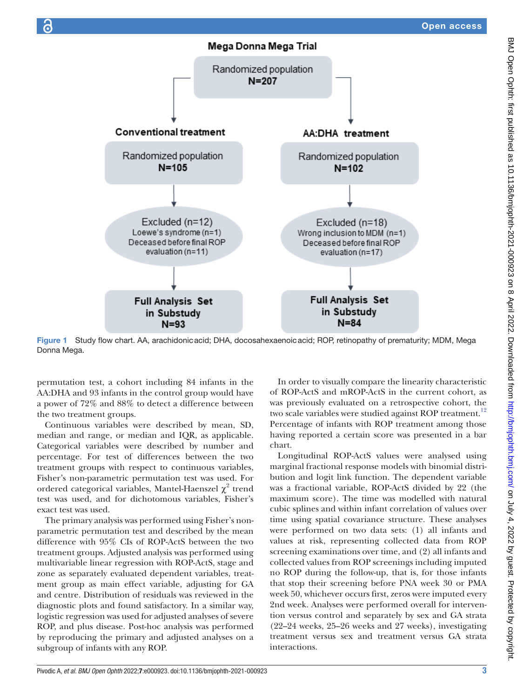# Mega Donna Mega Trial



Figure 1 Study flow chart. AA, arachidonic acid; DHA, docosahexaenoic acid; ROP, retinopathy of prematurity; MDM, Mega Donna Mega.

permutation test, a cohort including 84 infants in the AA:DHA and 93 infants in the control group would have a power of 72% and 88% to detect a difference between the two treatment groups.

Continuous variables were described by mean, SD, median and range, or median and IQR, as applicable. Categorical variables were described by number and percentage. For test of differences between the two treatment groups with respect to continuous variables, Fisher's non-parametric permutation test was used. For ordered categorical variables, Mantel-Haenszel  $\chi^2$  trend test was used, and for dichotomous variables, Fisher's exact test was used.

The primary analysis was performed using Fisher's nonparametric permutation test and described by the mean difference with 95% CIs of ROP-ActS between the two treatment groups. Adjusted analysis was performed using multivariable linear regression with ROP-ActS, stage and zone as separately evaluated dependent variables, treatment group as main effect variable, adjusting for GA and centre. Distribution of residuals was reviewed in the diagnostic plots and found satisfactory. In a similar way, logistic regression was used for adjusted analyses of severe ROP, and plus disease. Post-hoc analysis was performed by reproducing the primary and adjusted analyses on a subgroup of infants with any ROP.

<span id="page-2-0"></span>In order to visually compare the linearity characteristic of ROP-ActS and mROP-ActS in the current cohort, as was previously evaluated on a retrospective cohort, the two scale variables were studied against ROP treatment.<sup>[12](#page-8-8)</sup> Percentage of infants with ROP treatment among those having reported a certain score was presented in a bar chart.

Longitudinal ROP-ActS values were analysed using marginal fractional response models with binomial distribution and logit link function. The dependent variable was a fractional variable, ROP-ActS divided by 22 (the maximum score). The time was modelled with natural cubic splines and within infant correlation of values over time using spatial covariance structure. These analyses were performed on two data sets: (1) all infants and values at risk, representing collected data from ROP screening examinations over time, and (2) all infants and collected values from ROP screenings including imputed no ROP during the follow-up, that is, for those infants that stop their screening before PNA week 30 or PMA week 50, whichever occurs first, zeros were imputed every 2nd week. Analyses were performed overall for intervention versus control and separately by sex and GA strata (22–24 weeks, 25–26 weeks and 27 weeks), investigating treatment versus sex and treatment versus GA strata interactions.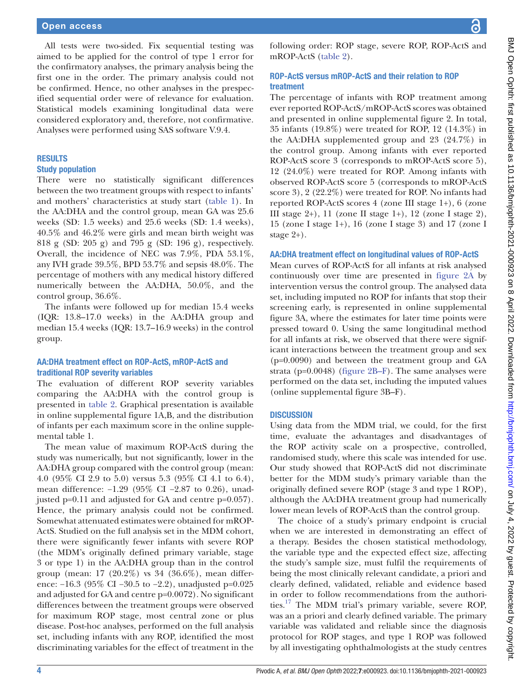All tests were two-sided. Fix sequential testing was aimed to be applied for the control of type 1 error for the confirmatory analyses, the primary analysis being the first one in the order. The primary analysis could not be confirmed. Hence, no other analyses in the prespecified sequential order were of relevance for evaluation. Statistical models examining longitudinal data were considered exploratory and, therefore, not confirmative. Analyses were performed using SAS software V.9.4.

## RESULTS

#### Study population

There were no statistically significant differences between the two treatment groups with respect to infants' and mothers' characteristics at study start [\(table](#page-4-0) 1). In the AA:DHA and the control group, mean GA was 25.6 weeks (SD: 1.5 weeks) and 25.6 weeks (SD: 1.4 weeks), 40.5% and 46.2% were girls and mean birth weight was 818 g (SD: 205 g) and 795 g (SD: 196 g), respectively. Overall, the incidence of NEC was 7.9%, PDA 53.1%, any IVH grade 39.5%, BPD 53.7% and sepsis 48.0%. The percentage of mothers with any medical history differed numerically between the AA:DHA, 50.0%, and the control group, 36.6%.

The infants were followed up for median 15.4 weeks (IQR: 13.8–17.0 weeks) in the AA:DHA group and median 15.4 weeks (IQR: 13.7–16.9 weeks) in the control group.

# AA:DHA treatment effect on ROP-ActS, mROP-ActS and traditional ROP severity variables

The evaluation of different ROP severity variables comparing the AA:DHA with the control group is presented in [table](#page-5-0) 2. Graphical presentation is available in [online supplemental figure 1A,B,](https://dx.doi.org/10.1136/bmjophth-2021-000923) and the distribution of infants per each maximum score in the [online supple](https://dx.doi.org/10.1136/bmjophth-2021-000923)[mental table 1](https://dx.doi.org/10.1136/bmjophth-2021-000923).

The mean value of maximum ROP-ActS during the study was numerically, but not significantly, lower in the AA:DHA group compared with the control group (mean: 4.0 (95% CI 2.9 to 5.0) versus 5.3 (95% CI 4.1 to 6.4), mean difference: −1.29 (95% CI −2.87 to 0.26), unadjusted p=0.11 and adjusted for GA and centre p=0.057). Hence, the primary analysis could not be confirmed. Somewhat attenuated estimates were obtained for mROP-ActS. Studied on the full analysis set in the MDM cohort, there were significantly fewer infants with severe ROP (the MDM's originally defined primary variable, stage 3 or type 1) in the AA:DHA group than in the control group (mean: 17 (20.2%) vs 34 (36.6%), mean difference: −16.3 (95% CI −30.5 to −2.2), unadjusted p=0.025 and adjusted for GA and centre p=0.0072). No significant differences between the treatment groups were observed for maximum ROP stage, most central zone or plus disease. Post-hoc analyses, performed on the full analysis set, including infants with any ROP, identified the most discriminating variables for the effect of treatment in the

following order: ROP stage, severe ROP, ROP-ActS and mROP-ActS [\(table](#page-5-0) 2).

## ROP-ActS versus mROP-ActS and their relation to ROP treatment

The percentage of infants with ROP treatment among ever reported ROP-ActS/mROP-ActS scores was obtained and presented in [online supplemental figure 2.](https://dx.doi.org/10.1136/bmjophth-2021-000923) In total, 35 infants (19.8%) were treated for ROP, 12 (14.3%) in the AA:DHA supplemented group and 23 (24.7%) in the control group. Among infants with ever reported ROP-ActS score 3 (corresponds to mROP-ActS score 5), 12 (24.0%) were treated for ROP. Among infants with observed ROP-ActS score 5 (corresponds to mROP-ActS score 3), 2 (22.2%) were treated for ROP. No infants had reported ROP-ActS scores 4 (zone III stage 1+), 6 (zone III stage  $2+$ ), 11 (zone II stage  $1+$ ), 12 (zone I stage 2), 15 (zone I stage 1+), 16 (zone I stage 3) and 17 (zone I stage  $2+$ ).

#### AA:DHA treatment effect on longitudinal values of ROP-ActS

Mean curves of ROP-ActS for all infants at risk analysed continuously over time are presented in [figure](#page-6-0) 2A by intervention versus the control group. The analysed data set, including imputed no ROP for infants that stop their screening early, is represented in [online supplemental](https://dx.doi.org/10.1136/bmjophth-2021-000923) [figure 3A,](https://dx.doi.org/10.1136/bmjophth-2021-000923) where the estimates for later time points were pressed toward 0. Using the same longitudinal method for all infants at risk, we observed that there were significant interactions between the treatment group and sex (p=0.0090) and between the treatment group and GA strata (p=0.0048) [\(figure](#page-6-0) 2B–F). The same analyses were performed on the data set, including the imputed values [\(online supplemental figure 3B–F](https://dx.doi.org/10.1136/bmjophth-2021-000923)).

## **DISCUSSION**

Using data from the MDM trial, we could, for the first time, evaluate the advantages and disadvantages of the ROP activity scale on a prospective, controlled, randomised study, where this scale was intended for use. Our study showed that ROP-ActS did not discriminate better for the MDM study's primary variable than the originally defined severe ROP (stage 3 and type 1 ROP), although the AA:DHA treatment group had numerically lower mean levels of ROP-ActS than the control group.

The choice of a study's primary endpoint is crucial when we are interested in demonstrating an effect of a therapy. Besides the chosen statistical methodology, the variable type and the expected effect size, affecting the study's sample size, must fulfil the requirements of being the most clinically relevant candidate, a priori and clearly defined, validated, reliable and evidence based in order to follow recommendations from the authorities[.17](#page-8-13) The MDM trial's primary variable, severe ROP, was an a priori and clearly defined variable. The primary variable was validated and reliable since the diagnosis protocol for ROP stages, and type 1 ROP was followed by all investigating ophthalmologists at the study centres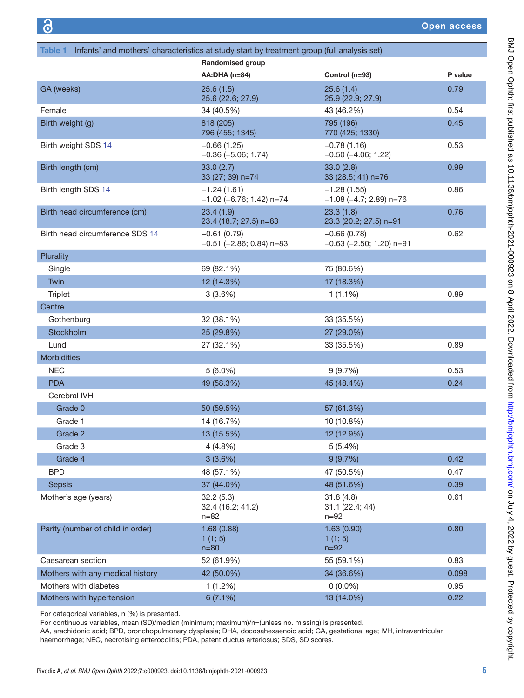<span id="page-4-0"></span>

| Table 1                           | Infants' and mothers' characteristics at study start by treatment group (full analysis set) |                                                 |         |  |
|-----------------------------------|---------------------------------------------------------------------------------------------|-------------------------------------------------|---------|--|
|                                   | <b>Randomised group</b>                                                                     |                                                 |         |  |
|                                   | AA:DHA (n=84)                                                                               | Control (n=93)                                  | P value |  |
| GA (weeks)                        | 25.6(1.5)<br>25.6 (22.6; 27.9)                                                              | 25.6(1.4)<br>25.9 (22.9; 27.9)                  | 0.79    |  |
| Female                            | 34 (40.5%)                                                                                  | 43 (46.2%)                                      | 0.54    |  |
| Birth weight (g)                  | 818 (205)<br>796 (455; 1345)                                                                | 795 (196)<br>770 (425; 1330)                    | 0.45    |  |
| Birth weight SDS 14               | $-0.66(1.25)$<br>$-0.36$ $(-5.06; 1.74)$                                                    | $-0.78(1.16)$<br>$-0.50$ ( $-4.06$ ; 1.22)      | 0.53    |  |
| Birth length (cm)                 | 33.0(2.7)<br>33 (27; 39) n=74                                                               | 33.0(2.8)<br>33 (28.5; 41) n=76                 | 0.99    |  |
| Birth length SDS 14               | $-1.24(1.61)$<br>$-1.02$ (-6.76; 1.42) n=74                                                 | $-1.28(1.55)$<br>$-1.08$ (-4.7; 2.89) n=76      | 0.86    |  |
| Birth head circumference (cm)     | 23.4(1.9)<br>23.4 (18.7; 27.5) n=83                                                         | 23.3(1.8)<br>23.3 (20.2; 27.5) n=91             | 0.76    |  |
| Birth head circumference SDS 14   | $-0.61(0.79)$<br>$-0.51$ ( $-2.86$ ; 0.84) n=83                                             | $-0.66(0.78)$<br>$-0.63$ ( $-2.50$ ; 1.20) n=91 | 0.62    |  |
| Plurality                         |                                                                                             |                                                 |         |  |
| Single                            | 69 (82.1%)                                                                                  | 75 (80.6%)                                      |         |  |
| Twin                              | 12 (14.3%)                                                                                  | 17 (18.3%)                                      |         |  |
| <b>Triplet</b>                    | 3(3.6%)                                                                                     | $1(1.1\%)$                                      | 0.89    |  |
| Centre                            |                                                                                             |                                                 |         |  |
| Gothenburg                        | 32 (38.1%)                                                                                  | 33 (35.5%)                                      |         |  |
| Stockholm                         | 25 (29.8%)                                                                                  | 27 (29.0%)                                      |         |  |
| Lund                              | 27 (32.1%)                                                                                  | 33 (35.5%)                                      | 0.89    |  |
| <b>Morbidities</b>                |                                                                                             |                                                 |         |  |
| <b>NEC</b>                        | $5(6.0\%)$                                                                                  | 9(9.7%)                                         | 0.53    |  |
| <b>PDA</b>                        | 49 (58.3%)                                                                                  | 45 (48.4%)                                      | 0.24    |  |
| Cerebral IVH                      |                                                                                             |                                                 |         |  |
| Grade 0                           | 50 (59.5%)                                                                                  | 57 (61.3%)                                      |         |  |
| Grade 1                           | 14 (16.7%)                                                                                  | 10 (10.8%)                                      |         |  |
| Grade 2                           | 13 (15.5%)                                                                                  | 12 (12.9%)                                      |         |  |
| Grade 3                           | $4(4.8\%)$                                                                                  | 5(5.4%)                                         |         |  |
| Grade 4                           | 3(3.6%)                                                                                     | 9(9.7%)                                         | 0.42    |  |
| <b>BPD</b>                        | 48 (57.1%)                                                                                  | 47 (50.5%)                                      | 0.47    |  |
| <b>Sepsis</b>                     | 37 (44.0%)                                                                                  | 48 (51.6%)                                      | 0.39    |  |
| Mother's age (years)              | 32.2(5.3)<br>32.4 (16.2; 41.2)<br>$n = 82$                                                  | 31.8(4.8)<br>31.1 (22.4; 44)<br>$n=92$          | 0.61    |  |
| Parity (number of child in order) | 1.68(0.88)<br>1(1; 5)<br>$n=80$                                                             | 1.63(0.90)<br>1(1; 5)<br>$n=92$                 | 0.80    |  |
| Caesarean section                 | 52 (61.9%)                                                                                  | 55 (59.1%)                                      | 0.83    |  |
| Mothers with any medical history  | 42 (50.0%)                                                                                  | 34 (36.6%)                                      | 0.098   |  |
| Mothers with diabetes             | $1(1.2\%)$                                                                                  | $0(0.0\%)$                                      | 0.95    |  |
| Mothers with hypertension         | $6(7.1\%)$                                                                                  | 13 (14.0%)                                      | 0.22    |  |

For categorical variables, n (%) is presented.

For continuous variables, mean (SD)/median (minimum; maximum)/n=(unless no. missing) is presented.

AA, arachidonic acid; BPD, bronchopulmonary dysplasia; DHA, docosahexaenoic acid; GA, gestational age; IVH, intraventricular haemorrhage; NEC, necrotising enterocolitis; PDA, patent ductus arteriosus; SDS, SD scores.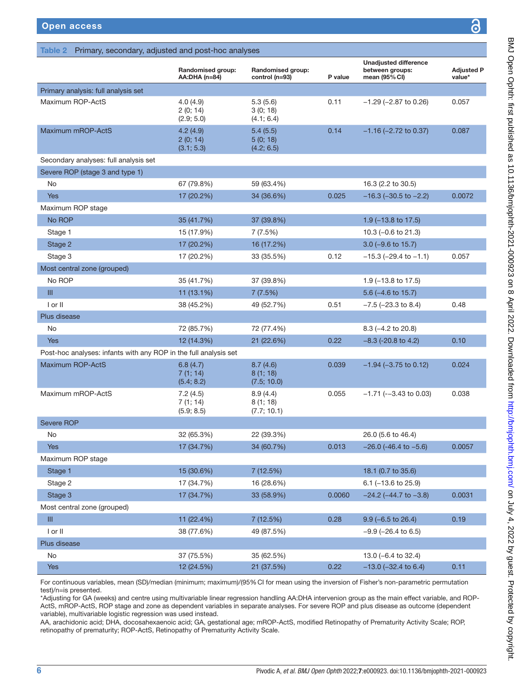# <span id="page-5-0"></span>Table 2 Primary, secondary, adjusted and post-hoc analyses

|                                                                  | Randomised group:<br>AA:DHA (n=84)  | <b>Randomised group:</b><br>control (n=93) | P value | <b>Unadjusted difference</b><br>between groups:<br>mean (95% CI) | <b>Adjusted P</b><br>value* |
|------------------------------------------------------------------|-------------------------------------|--------------------------------------------|---------|------------------------------------------------------------------|-----------------------------|
| Primary analysis: full analysis set                              |                                     |                                            |         |                                                                  |                             |
| Maximum ROP-ActS                                                 | 4.0(4.9)<br>2(0; 14)<br>(2.9; 5.0)  | 5.3(5.6)<br>3(0; 18)<br>(4.1; 6.4)         | 0.11    | $-1.29$ ( $-2.87$ to 0.26)                                       | 0.057                       |
| Maximum mROP-ActS                                                | 4.2(4.9)<br>2(0; 14)<br>(3.1; 5.3)  | 5.4 (5.5)<br>5 (0; 18)<br>(4.2; 6.5)       | 0.14    | $-1.16$ ( $-2.72$ to 0.37)                                       | 0.087                       |
| Secondary analyses: full analysis set                            |                                     |                                            |         |                                                                  |                             |
| Severe ROP (stage 3 and type 1)                                  |                                     |                                            |         |                                                                  |                             |
| No                                                               | 67 (79.8%)                          | 59 (63.4%)                                 |         | 16.3 (2.2 to 30.5)                                               |                             |
| <b>Yes</b>                                                       | 17 (20.2%)                          | 34 (36.6%)                                 | 0.025   | $-16.3$ ( $-30.5$ to $-2.2$ )                                    | 0.0072                      |
| Maximum ROP stage                                                |                                     |                                            |         |                                                                  |                             |
| No ROP                                                           | 35 (41.7%)                          | 37 (39.8%)                                 |         | 1.9 $(-13.8 \text{ to } 17.5)$                                   |                             |
| Stage 1                                                          | 15 (17.9%)                          | 7(7.5%)                                    |         | 10.3 (-0.6 to 21.3)                                              |                             |
| Stage 2                                                          | 17 (20.2%)                          | 16 (17.2%)                                 |         | $3.0$ (-9.6 to 15.7)                                             |                             |
| Stage 3                                                          | 17 (20.2%)                          | 33 (35.5%)                                 | 0.12    | $-15.3$ ( $-29.4$ to $-1.1$ )                                    | 0.057                       |
| Most central zone (grouped)                                      |                                     |                                            |         |                                                                  |                             |
| No ROP                                                           | 35 (41.7%)                          | 37 (39.8%)                                 |         | 1.9 (-13.8 to 17.5)                                              |                             |
| $\mathop{\mathrm{III}}\nolimits$                                 | 11 (13.1%)                          | 7(7.5%)                                    |         | $5.6$ (-4.6 to 15.7)                                             |                             |
| $I$ or $II$                                                      | 38 (45.2%)                          | 49 (52.7%)                                 | 0.51    | $-7.5$ ( $-23.3$ to 8.4)                                         | 0.48                        |
| Plus disease                                                     |                                     |                                            |         |                                                                  |                             |
| No                                                               | 72 (85.7%)                          | 72 (77.4%)                                 |         | 8.3 (-4.2 to 20.8)                                               |                             |
| <b>Yes</b>                                                       | 12 (14.3%)                          | 21 (22.6%)                                 | 0.22    | $-8.3$ (-20.8 to 4.2)                                            | 0.10                        |
| Post-hoc analyses: infants with any ROP in the full analysis set |                                     |                                            |         |                                                                  |                             |
| Maximum ROP-ActS                                                 | 6.8(4.7)<br>7(1; 14)<br>(5.4; 8.2)  | 8.7(4.6)<br>8 (1; 18)<br>(7.5; 10.0)       | 0.039   | $-1.94$ (-3.75 to 0.12)                                          | 0.024                       |
| Maximum mROP-ActS                                                | 7.2 (4.5)<br>7(1; 14)<br>(5.9; 8.5) | 8.9(4.4)<br>8(1; 18)<br>(7.7; 10.1)        | 0.055   | $-1.71$ ( $-3.43$ to 0.03)                                       | 0.038                       |
| Severe ROP                                                       |                                     |                                            |         |                                                                  |                             |
| <b>No</b>                                                        | 32 (65.3%)                          | 22 (39.3%)                                 |         | 26.0 (5.6 to 46.4)                                               |                             |
| <b>Yes</b>                                                       | 17 (34.7%)                          | 34 (60.7%)                                 | 0.013   | $-26.0$ (-46.4 to $-5.6$ )                                       | 0.0057                      |
| Maximum ROP stage                                                |                                     |                                            |         |                                                                  |                             |
| Stage 1                                                          | 15 (30.6%)                          | 7 (12.5%)                                  |         | 18.1 (0.7 to 35.6)                                               |                             |
| Stage 2                                                          | 17 (34.7%)                          | 16 (28.6%)                                 |         | $6.1$ (-13.6 to 25.9)                                            |                             |
| Stage 3                                                          | 17 (34.7%)                          | 33 (58.9%)                                 | 0.0060  | $-24.2$ ( $-44.7$ to $-3.8$ )                                    | 0.0031                      |
| Most central zone (grouped)                                      |                                     |                                            |         |                                                                  |                             |
| $\begin{array}{c} \Pi \end{array}$                               | 11 (22.4%)                          | 7 (12.5%)                                  | 0.28    | $9.9$ (-6.5 to 26.4)                                             | 0.19                        |
| I or II                                                          | 38 (77.6%)                          | 49 (87.5%)                                 |         | $-9.9$ ( $-26.4$ to 6.5)                                         |                             |
| Plus disease                                                     |                                     |                                            |         |                                                                  |                             |
| No                                                               | 37 (75.5%)                          | 35 (62.5%)                                 |         | 13.0 (-6.4 to 32.4)                                              |                             |
| <b>Yes</b>                                                       | 12 (24.5%)                          | 21 (37.5%)                                 | 0.22    | $-13.0$ ( $-32.4$ to 6.4)                                        | 0.11                        |

For continuous variables, mean (SD)/median (minimum; maximum)/(95%CI for mean using the inversion of Fisher's non-parametric permutation test)/n=is presented.

\*Adjusting for GA (weeks) and centre using multivariable linear regression handling AA:DHA intervenion group as the main effect variable, and ROP-ActS, mROP-ActS, ROP stage and zone as dependent variables in separate analyses. For severe ROP and plus disease as outcome (dependent variable), multivariable logistic regression was used instead.

AA, arachidonic acid; DHA, docosahexaenoic acid; GA, gestational age; mROP-ActS, modified Retinopathy of Prematurity Activity Scale; ROP, retinopathy of prematurity; ROP-ActS, Retinopathy of Prematurity Activity Scale.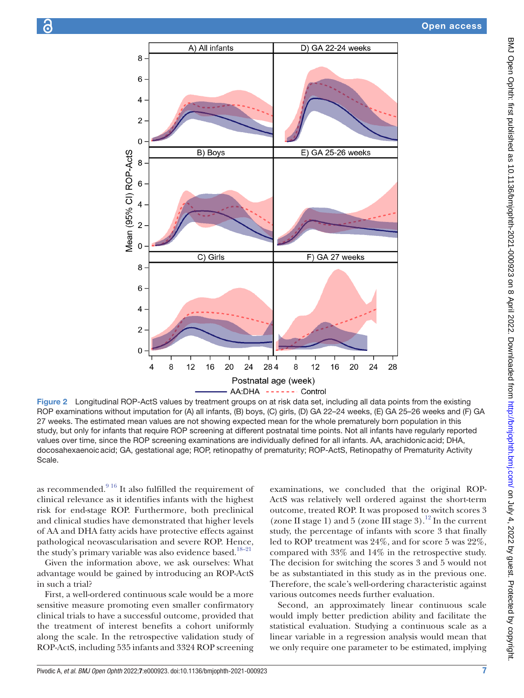

Figure 2 Longitudinal ROP-ActS values by treatment groups on at risk data set, including all data points from the existing ROP examinations without imputation for (A) all infants, (B) boys, (C) girls, (D) GA 22-24 weeks, (E) GA 25-26 weeks and (F) GA 27 weeks. The estimated mean values are not showing expected mean for the whole prematurely born population in this study, but only for infants that require ROP screening at different postnatal time points. Not all infants have regularly reported values over time, since the ROP screening examinations are individually defined for all infants. AA, arachidonicacid; DHA, docosahexaenoicacid; GA, gestational age; ROP, retinopathy of prematurity; ROP-ActS, Retinopathy of Prematurity Activity Scale.

as recommended. $916$  It also fulfilled the requirement of clinical relevance as it identifies infants with the highest risk for end-stage ROP. Furthermore, both preclinical and clinical studies have demonstrated that higher levels of AA and DHA fatty acids have protective effects against pathological neovascularisation and severe ROP. Hence, the study's primary variable was also evidence based.<sup>[18–21](#page-8-14)</sup>

Given the information above, we ask ourselves: What advantage would be gained by introducing an ROP-ActS in such a trial?

First, a well-ordered continuous scale would be a more sensitive measure promoting even smaller confirmatory clinical trials to have a successful outcome, provided that the treatment of interest benefits a cohort uniformly along the scale. In the retrospective validation study of ROP-ActS, including 535 infants and 3324 ROP screening

<span id="page-6-0"></span>examinations, we concluded that the original ROP-ActS was relatively well ordered against the short-term outcome, treated ROP. It was proposed to switch scores 3 (zone II stage 1) and 5 (zone III stage 3).<sup>[12](#page-8-8)</sup> In the current study, the percentage of infants with score 3 that finally led to ROP treatment was 24%, and for score 5 was 22%, compared with 33% and 14% in the retrospective study. The decision for switching the scores 3 and 5 would not be as substantiated in this study as in the previous one. Therefore, the scale's well-ordering characteristic against various outcomes needs further evaluation.

Second, an approximately linear continuous scale would imply better prediction ability and facilitate the statistical evaluation. Studying a continuous scale as a linear variable in a regression analysis would mean that we only require one parameter to be estimated, implying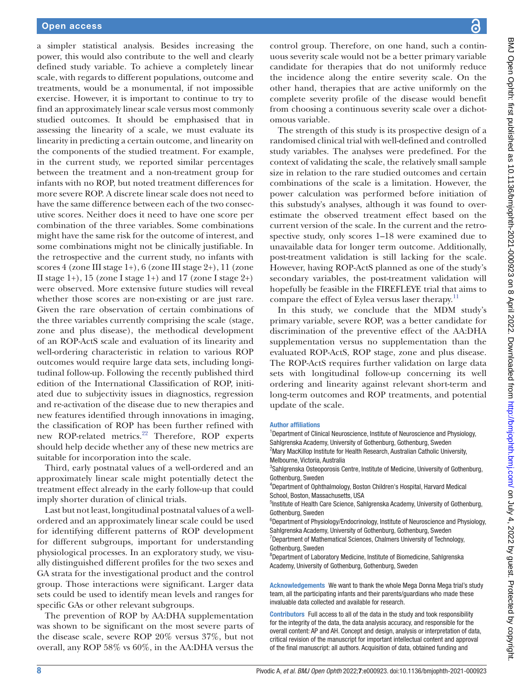a simpler statistical analysis. Besides increasing the power, this would also contribute to the well and clearly defined study variable. To achieve a completely linear scale, with regards to different populations, outcome and treatments, would be a monumental, if not impossible exercise. However, it is important to continue to try to find an approximately linear scale versus most commonly studied outcomes. It should be emphasised that in assessing the linearity of a scale, we must evaluate its linearity in predicting a certain outcome, and linearity on the components of the studied treatment. For example, in the current study, we reported similar percentages between the treatment and a non-treatment group for infants with no ROP, but noted treatment differences for more severe ROP. A discrete linear scale does not need to have the same difference between each of the two consecutive scores. Neither does it need to have one score per combination of the three variables. Some combinations might have the same risk for the outcome of interest, and some combinations might not be clinically justifiable. In the retrospective and the current study, no infants with scores 4 (zone III stage 1+), 6 (zone III stage 2+), 11 (zone II stage  $1+$ ),  $15$  (zone I stage  $1+$ ) and  $17$  (zone I stage  $2+$ ) were observed. More extensive future studies will reveal whether those scores are non-existing or are just rare. Given the rare observation of certain combinations of the three variables currently comprising the scale (stage, zone and plus disease), the methodical development of an ROP-ActS scale and evaluation of its linearity and well-ordering characteristic in relation to various ROP outcomes would require large data sets, including longitudinal follow-up. Following the recently published third edition of the International Classification of ROP, initiated due to subjectivity issues in diagnostics, regression and re-activation of the disease due to new therapies and new features identified through innovations in imaging, the classification of ROP has been further refined with new ROP-related metrics.<sup>22</sup> Therefore, ROP experts should help decide whether any of these new metrics are suitable for incorporation into the scale.

Third, early postnatal values of a well-ordered and an approximately linear scale might potentially detect the treatment effect already in the early follow-up that could imply shorter duration of clinical trials.

Last but not least, longitudinal postnatal values of a wellordered and an approximately linear scale could be used for identifying different patterns of ROP development for different subgroups, important for understanding physiological processes. In an exploratory study, we visually distinguished different profiles for the two sexes and GA strata for the investigational product and the control group. Those interactions were significant. Larger data sets could be used to identify mean levels and ranges for specific GAs or other relevant subgroups.

The prevention of ROP by AA:DHA supplementation was shown to be significant on the most severe parts of the disease scale, severe ROP 20% versus 37%, but not overall, any ROP 58% vs 60%, in the AA:DHA versus the

control group. Therefore, on one hand, such a continuous severity scale would not be a better primary variable candidate for therapies that do not uniformly reduce the incidence along the entire severity scale. On the other hand, therapies that are active uniformly on the complete severity profile of the disease would benefit from choosing a continuous severity scale over a dichotomous variable.

The strength of this study is its prospective design of a randomised clinical trial with well-defined and controlled study variables. The analyses were predefined. For the context of validating the scale, the relatively small sample size in relation to the rare studied outcomes and certain combinations of the scale is a limitation. However, the power calculation was performed before initiation of this substudy's analyses, although it was found to overestimate the observed treatment effect based on the current version of the scale. In the current and the retrospective study, only scores 1–18 were examined due to unavailable data for longer term outcome. Additionally, post-treatment validation is still lacking for the scale. However, having ROP-ActS planned as one of the study's secondary variables, the post-treatment validation will hopefully be feasible in the FIREFLEYE trial that aims to compare the effect of Eylea versus laser therapy.<sup>[11](#page-8-16)</sup>

In this study, we conclude that the MDM study's primary variable, severe ROP, was a better candidate for discrimination of the preventive effect of the AA:DHA supplementation versus no supplementation than the evaluated ROP-ActS, ROP stage, zone and plus disease. The ROP-ActS requires further validation on large data sets with longitudinal follow-up concerning its well ordering and linearity against relevant short-term and long-term outcomes and ROP treatments, and potential update of the scale.

#### Author affiliations

<sup>1</sup>Department of Clinical Neuroscience, Institute of Neuroscience and Physiology, Sahlgrenska Academy, University of Gothenburg, Gothenburg, Sweden <sup>2</sup>Mary MacKillop Institute for Health Research, Australian Catholic University, Melbourne, Victoria, Australia <sup>3</sup>Sahlgrenska Osteoporosis Centre, Institute of Medicine, University of Gothenburg, Gothenburg, Sweden 4 Department of Ophthalmology, Boston Children's Hospital, Harvard Medical

School, Boston, Massachusetts, USA

<sup>5</sup>Institute of Health Care Science, Sahlgrenska Academy, University of Gothenburg, Gothenburg, Sweden

<sup>6</sup>Department of Physiology/Endocrinology, Institute of Neuroscience and Physiology, Sahlgrenska Academy, University of Gothenburg, Gothenburg, Sweden

<sup>7</sup>Department of Mathematical Sciences, Chalmers University of Technology, Gothenburg, Sweden

8 Department of Laboratory Medicine, Institute of Biomedicine, Sahlgrenska Academy, University of Gothenburg, Gothenburg, Sweden

Acknowledgements We want to thank the whole Mega Donna Mega trial's study team, all the participating infants and their parents/guardians who made these invaluable data collected and available for research.

Contributors Full access to all of the data in the study and took responsibility for the integrity of the data, the data analysis accuracy, and responsible for the overall content: AP and AH. Concept and design, analysis or interpretation of data, critical revision of the manuscript for important intellectual content and approval of the final manuscript: all authors. Acquisition of data, obtained funding and